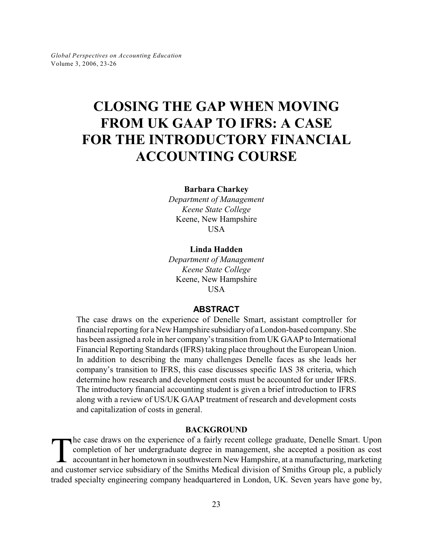# **CLOSING THE GAP WHEN MOVING FROM UK GAAP TO IFRS: A CASE FOR THE INTRODUCTORY FINANCIAL ACCOUNTING COURSE**

**Barbara Charkey**

*Department of Management Keene State College* Keene, New Hampshire USA

### **Linda Hadden**

*Department of Management Keene State College* Keene, New Hampshire **USA** 

# **ABSTRACT**

The case draws on the experience of Denelle Smart, assistant comptroller for financial reporting for a New Hampshire subsidiary of a London-based company. She has been assigned a role in her company's transition from UK GAAP to International Financial Reporting Standards (IFRS) taking place throughout the European Union. In addition to describing the many challenges Denelle faces as she leads her company's transition to IFRS, this case discusses specific IAS 38 criteria, which determine how research and development costs must be accounted for under IFRS. The introductory financial accounting student is given a brief introduction to IFRS along with a review of US/UK GAAP treatment of research and development costs and capitalization of costs in general.

#### **BACKGROUND**

The case draws on the experience of a fairly recent college graduate, Denelle Smart. Upon completion of her undergraduate degree in management, she accepted a position as cost accountant in her hometown in southwestern New he case draws on the experience of a fairly recent college graduate, Denelle Smart. Upon completion of her undergraduate degree in management, she accepted a position as cost accountant in her hometown in southwestern New Hampshire, at a manufacturing, marketing traded specialty engineering company headquartered in London, UK. Seven years have gone by,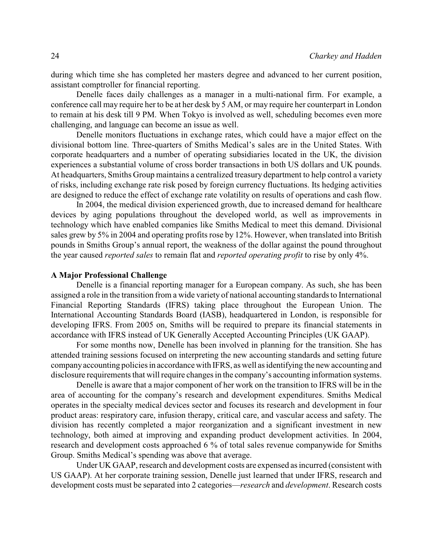during which time she has completed her masters degree and advanced to her current position, assistant comptroller for financial reporting.

Denelle faces daily challenges as a manager in a multi-national firm. For example, a conference call may require her to be at her desk by 5 AM, or may require her counterpart in London to remain at his desk till 9 PM. When Tokyo is involved as well, scheduling becomes even more challenging, and language can become an issue as well.

Denelle monitors fluctuations in exchange rates, which could have a major effect on the divisional bottom line. Three-quarters of Smiths Medical's sales are in the United States. With corporate headquarters and a number of operating subsidiaries located in the UK, the division experiences a substantial volume of cross border transactions in both US dollars and UK pounds. At headquarters, Smiths Group maintains a centralized treasury department to help control a variety of risks, including exchange rate risk posed by foreign currency fluctuations. Its hedging activities are designed to reduce the effect of exchange rate volatility on results of operations and cash flow.

In 2004, the medical division experienced growth, due to increased demand for healthcare devices by aging populations throughout the developed world, as well as improvements in technology which have enabled companies like Smiths Medical to meet this demand. Divisional sales grew by 5% in 2004 and operating profits rose by 12%. However, when translated into British pounds in Smiths Group's annual report, the weakness of the dollar against the pound throughout the year caused *reported sales* to remain flat and *reported operating profit* to rise by only 4%.

#### **A Major Professional Challenge**

Denelle is a financial reporting manager for a European company. As such, she has been assigned a role in the transition from a wide variety of national accounting standards to International Financial Reporting Standards (IFRS) taking place throughout the European Union. The International Accounting Standards Board (IASB), headquartered in London, is responsible for developing IFRS. From 2005 on, Smiths will be required to prepare its financial statements in accordance with IFRS instead of UK Generally Accepted Accounting Principles (UK GAAP).

For some months now, Denelle has been involved in planning for the transition. She has attended training sessions focused on interpreting the new accounting standards and setting future company accounting policies in accordance with IFRS, as well as identifying the new accounting and disclosure requirements that will require changes in the company's accounting information systems.

Denelle is aware that a major component of her work on the transition to IFRS will be in the area of accounting for the company's research and development expenditures. Smiths Medical operates in the specialty medical devices sector and focuses its research and development in four product areas: respiratory care, infusion therapy, critical care, and vascular access and safety. The division has recently completed a major reorganization and a significant investment in new technology, both aimed at improving and expanding product development activities. In 2004, research and development costs approached 6 % of total sales revenue companywide for Smiths Group. Smiths Medical's spending was above that average.

Under UK GAAP, research and development costs are expensed as incurred (consistent with US GAAP). At her corporate training session, Denelle just learned that under IFRS, research and development costs must be separated into 2 categories—*research* and *development*. Research costs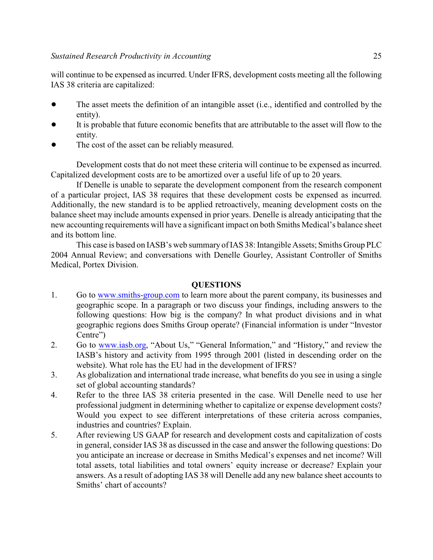will continue to be expensed as incurred. Under IFRS, development costs meeting all the following IAS 38 criteria are capitalized:

- The asset meets the definition of an intangible asset (i.e., identified and controlled by the entity).
- It is probable that future economic benefits that are attributable to the asset will flow to the entity.
- The cost of the asset can be reliably measured.

Development costs that do not meet these criteria will continue to be expensed as incurred. Capitalized development costs are to be amortized over a useful life of up to 20 years.

If Denelle is unable to separate the development component from the research component of a particular project, IAS 38 requires that these development costs be expensed as incurred. Additionally, the new standard is to be applied retroactively, meaning development costs on the balance sheet may include amounts expensed in prior years. Denelle is already anticipating that the new accounting requirements will have a significant impact on both Smiths Medical's balance sheet and its bottom line.

This case is based on IASB's web summary of IAS 38: Intangible Assets; Smiths Group PLC 2004 Annual Review; and conversations with Denelle Gourley, Assistant Controller of Smiths Medical, Portex Division.

## **QUESTIONS**

- 1. Go to [www.smiths-group.com](http://www.smiths-group.com) to learn more about the parent company, its businesses and geographic scope. In a paragraph or two discuss your findings, including answers to the following questions: How big is the company? In what product divisions and in what geographic regions does Smiths Group operate? (Financial information is under "Investor Centre")
- 2. Go to [www.iasb.org](http://www.iasb.org), "About Us," "General Information," and "History," and review the IASB's history and activity from 1995 through 2001 (listed in descending order on the website). What role has the EU had in the development of IFRS?
- 3. As globalization and international trade increase, what benefits do you see in using a single set of global accounting standards?
- 4. Refer to the three IAS 38 criteria presented in the case. Will Denelle need to use her professional judgment in determining whether to capitalize or expense development costs? Would you expect to see different interpretations of these criteria across companies, industries and countries? Explain.
- 5. After reviewing US GAAP for research and development costs and capitalization of costs in general, consider IAS 38 as discussed in the case and answer the following questions: Do you anticipate an increase or decrease in Smiths Medical's expenses and net income? Will total assets, total liabilities and total owners' equity increase or decrease? Explain your answers. As a result of adopting IAS 38 will Denelle add any new balance sheet accounts to Smiths' chart of accounts?